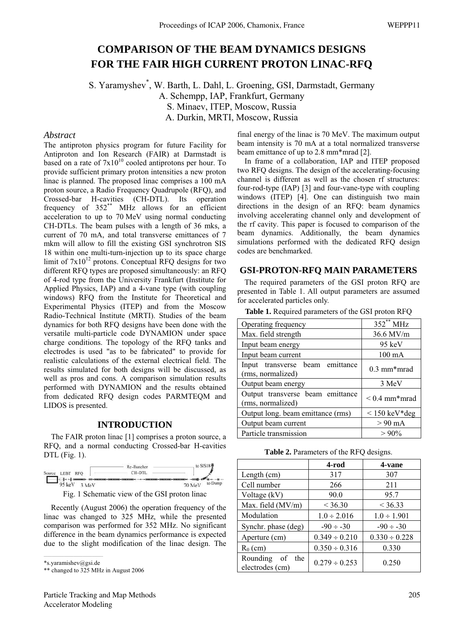# **COMPARISON OF THE BEAM DYNAMICS DESIGNS FOR THE FAIR HIGH CURRENT PROTON LINAC-RFQ**

S. Yaramyshev\* , W. Barth, L. Dahl, L. Groening, GSI, Darmstadt, Germany A. Schempp, IAP, Frankfurt, Germany S. Minaev, ITEP, Moscow, Russia A. Durkin, MRTI, Moscow, Russia

#### *Abstract*

The antiproton physics program for future Facility for Antiproton and Ion Research (FAIR) at Darmstadt is based on a rate of  $7x10^{10}$  cooled antiprotons per hour. To provide sufficient primary proton intensities a new proton linac is planned. The proposed linac comprises a 100 mA proton source, a Radio Frequency Quadrupole (RFQ), and Crossed-bar H-cavities (CH-DTL). Its operation frequency of 352\*\* MHz allows for an efficient acceleration to up to 70 MeV using normal conducting CH-DTLs. The beam pulses with a length of 36 mks, a current of 70 mA, and total transverse emittances of 7 mkm will allow to fill the existing GSI synchrotron SIS 18 within one multi-turn-injection up to its space charge limit of  $7x10^{12}$  protons. Conceptual RFO designs for two different RFQ types are proposed simultaneously: an RFQ of 4-rod type from the University Frankfurt (Institute for Applied Physics, IAP) and a 4-vane type (with coupling windows) RFQ from the Institute for Theoretical and Experimental Physics (ITEP) and from the Moscow Radio-Technical Institute (MRTI). Studies of the beam dynamics for both RFQ designs have been done with the versatile multi-particle code DYNAMION under space charge conditions. The topology of the RFQ tanks and electrodes is used "as to be fabricated" to provide for realistic calculations of the external electrical field. The results simulated for both designs will be discussed, as well as pros and cons. A comparison simulation results performed with DYNAMION and the results obtained from dedicated RFQ design codes PARMTEQM and LIDOS is presented.

### **INTRODUCTION**

The FAIR proton linac [1] comprises a proton source, a RFQ, and a normal conducting Crossed-bar H-cavities DTL (Fig. 1).



Fig. 1 Schematic view of the GSI proton linac

Recently (August 2006) the operation frequency of the linac was changed to 325 MHz, while the presented comparison was performed for 352 MHz. No significant difference in the beam dynamics performance is expected due to the slight modification of the linac design. The

\*s.yaramishev@gsi.de

final energy of the linac is 70 MeV. The maximum output beam intensity is 70 mA at a total normalized transverse beam emittance of up to 2.8 mm\*mrad [2].

In frame of a collaboration, IAP and ITEP proposed two RFQ designs. The design of the accelerating-focusing channel is different as well as the chosen rf structures: four-rod-type (IAP) [3] and four-vane-type with coupling windows (ITEP) [4]. One can distinguish two main directions in the design of an RFQ: beam dynamics involving accelerating channel only and development of the rf cavity. This paper is focused to comparison of the beam dynamics. Additionally, the beam dynamics simulations performed with the dedicated RFQ design codes are benchmarked.

### **GSI-PROTON-RFQ MAIN PARAMETERS**

The required parameters of the GSI proton RFQ are presented in Table 1. All output parameters are assumed for accelerated particles only.

| Operating frequency                                   | $352**$ MHz             |  |
|-------------------------------------------------------|-------------------------|--|
| Max. field strength                                   | 36.6 MV/m               |  |
| Input beam energy                                     | $95 \text{ keV}$        |  |
| Input beam current                                    | $100 \text{ mA}$        |  |
| Input transverse beam emittance<br>(rms, normalized)  | $0.3 \text{ mm}^*$ mrad |  |
| Output beam energy                                    | 3 MeV                   |  |
| Output transverse beam emittance<br>(rms, normalized) | $< 0.4$ mm*mrad         |  |
| Output long. beam emittance (rms)                     | $<$ 150 keV*deg         |  |
| Output beam current                                   | $> 90$ mA               |  |
| Particle transmission                                 | $>90\%$                 |  |

**Table 1.** Required parameters of the GSI proton RFQ

**Table 2.** Parameters of the RFQ designs.

|                                       | 4-rod              | 4-vane             |  |
|---------------------------------------|--------------------|--------------------|--|
| Length (cm)                           | 317                |                    |  |
| Cell number                           | 266                | 211                |  |
| Voltage (kV)                          | 90.0               | 95.7               |  |
| Max. field (MV/m)                     | < 36.30            | $<$ 36.33          |  |
| Modulation                            | $1.0 \div 2.016$   | $1.0 \div 1.901$   |  |
| Synchr. phase (deg)                   | $-90 \div -30$     | $-90 \div -30$     |  |
| Aperture (cm)                         | $0.349 \div 0.210$ | $0.330 \div 0.228$ |  |
| $R_0$ (cm)                            | $0.350 \div 0.316$ | 0.330              |  |
| Rounding of<br>the<br>electrodes (cm) | $0.279 \div 0.253$ | 0.250              |  |

<sup>\*\*</sup> changed to 325 MHz in August 2006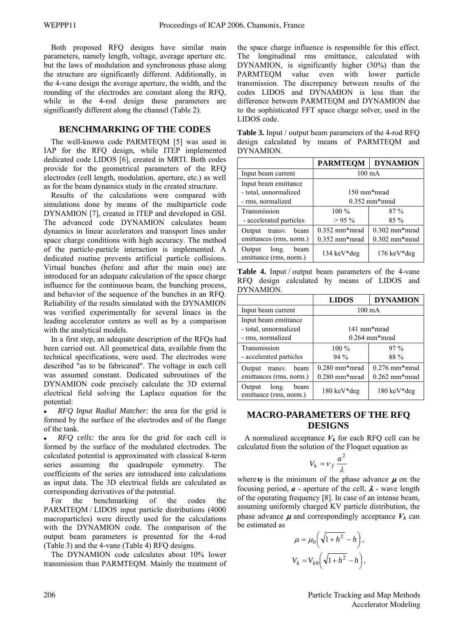Both proposed RFQ designs have similar main parameters, namely length, voltage, average aperture etc. but the laws of modulation and synchronous phase along the structure are significantly different. Additionally, in the 4-vane design the average aperture, the width, and the rounding of the electrodes are constant along the RFQ, while in the 4-rod design these parameters are significantly different along the channel (Table 2).

# **BENCHMARKING OF THE CODES**

The well-known code PARMTEQM [5] was used in IAP for the RFQ design, while ITEP implemented dedicated code LIDOS [6], created in MRTI. Both codes provide for the geometrical parameters of the RFQ electrodes (cell length, modulation, aperture, etc.) as well as for the beam dynamics study in the created structure.

Results of the calculations were compared with simulations done by means of the multiparticle code DYNAMION [7], created in ITEP and developed in GSI. The advanced code DYNAMION calculates beam dynamics in linear accelerators and transport lines under space charge conditions with high accuracy. The method of the particle-particle interaction is implemented. A dedicated routine prevents artificial particle collisions. Virtual bunches (before and after the main one) are introduced for an adequate calculation of the space charge influence for the continuous beam, the bunching process, and behavior of the sequence of the bunches in an RFQ. Reliability of the results simulated with the DYNAMION was verified experimentally for several linacs in the leading accelerator centers as well as by a comparison with the analytical models.

In a first step, an adequate description of the RFQs had been carried out. All geometrical data, available from the technical specifications, were used. The electrodes were described "as to be fabricated". The voltage in each cell was assumed constant. Dedicated subroutines of the DYNAMION code precisely calculate the 3D external electrical field solving the Laplace equation for the potential:

x *RFQ Input Radial Matcher:* the area for the grid is formed by the surface of the electrodes and of the flange of the tank.

x *RFQ cells:* the area for the grid for each cell is formed by the surface of the modulated electrodes. The calculated potential is approximated with classical 8-term series assuming the quadrupole symmetry. The coefficients of the series are introduced into calculations as input data. The 3D electrical fields are calculated as corresponding derivatives of the potential.

For the benchmarking of the codes the PARMTEQM / LIDOS input particle distributions (4000 macroparticles) were directly used for the calculations with the DYNAMION code. The comparison of the output beam parameters is presented for the 4-rod (Table 3) and the 4-vane (Table 4) RFQ designs.

The DYNAMION code calculates about 10% lower transmission than PARMTEQM. Mainly the treatment of

the space charge influence is responsible for this effect. The longitudinal rms emittance, calculated with DYNAMION, is significantly higher (30%) than the PARMTEQM value even with lower particle transmission. The discrepancy between results of the codes LIDOS and DYNAMION is less than the difference between PARMTEQM and DYNAMION due to the sophisticated FFT space charge solver, used in the LIDOS code.

| <b>Table 3.</b> Input / output beam parameters of the 4-rod RFQ |  |  |  |  |                                            |  |
|-----------------------------------------------------------------|--|--|--|--|--------------------------------------------|--|
|                                                                 |  |  |  |  | design calculated by means of PARMTEQM and |  |
| DYNAMION.                                                       |  |  |  |  |                                            |  |

|                                                | <b>PARMTEQM</b>       | <b>DYNAMION</b>       |
|------------------------------------------------|-----------------------|-----------------------|
| Input beam current                             | $100 \text{ mA}$      |                       |
| Input beam emittance                           |                       |                       |
| - total, unnormalized                          | 150 mm*mrad           |                       |
| - rms, normalized                              | $0.352$ mm*mrad       |                       |
| Transmission                                   | $100\%$               | $87\%$                |
| - accelerated particles                        | $>95\%$               | $85\%$                |
| Output transv. beam                            | $0.352$ mm*mrad       | $0.302$ mm*mrad       |
| emittances (rms, norm.)                        | $0.352$ mm*mrad       | $0.302$ mm*mrad       |
| Output long.<br>beam<br>emittance (rms, norm.) | $134 \text{ keV*deg}$ | $176 \text{ keV*deg}$ |

**Table 4.** Input / output beam parameters of the 4-vane RFQ design calculated by means of LIDOS and DYNAMION.

|                                                                    | <b>LIDOS</b>                       | <b>DYNAMION</b>                    |  |
|--------------------------------------------------------------------|------------------------------------|------------------------------------|--|
| Input beam current                                                 | $100 \text{ mA}$                   |                                    |  |
| Input beam emittance<br>- total, unnormalized<br>- rms, normalized | 141 mm*mrad<br>$0.264$ mm*mrad     |                                    |  |
| Transmission<br>- accelerated particles                            | $100\%$<br>$94\%$                  | $97\%$<br>88 %                     |  |
| Output transv.<br>beam<br>emittances (rms, norm.)                  | $0.280$ mm*mrad<br>$0.280$ mm*mrad | $0.276$ mm*mrad<br>$0.262$ mm*mrad |  |
| long.<br>beam<br>Output<br>emittance (rms, norm.)                  | $180 \text{ keV*deg}$              | $180 \text{ keV*deg}$              |  |

# **MACRO-PARAMETERS OF THE RFQ DESIGNS**

A normalized acceptance  $V_k$  for each RFQ cell can be calculated from the solution of the Floquet equation as

$$
V_k = v_f \frac{a^2}{\lambda}
$$

where  $\nu_f$  is the minimum of the phase advance  $\mu$  on the focusing period,  $\boldsymbol{a}$  - aperture of the cell,  $\boldsymbol{\lambda}$  - wave length of the operating frequency [8]. In case of an intense beam, assuming uniformly charged KV particle distribution, the phase advance  $\mu$  and correspondingly acceptance  $V_k$  can be estimated as

$$
\mu = \mu_0 \left( \sqrt{1 + h^2} - h \right),
$$
  

$$
V_k = V_{k0} \left( \sqrt{1 + h^2} - h \right),
$$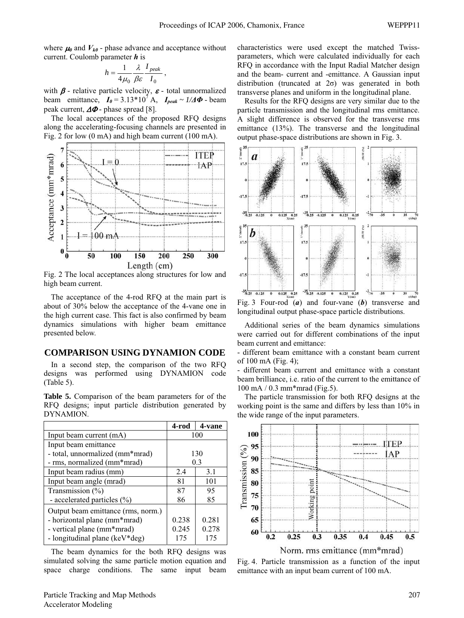where  $\mu_0$  and  $V_{k0}$  - phase advance and acceptance without current. Coulomb parameter *h* is

$$
h = \frac{1}{4\mu_0} \frac{\lambda}{\beta \varepsilon} \frac{I_{peak}}{I_0} \,,
$$

with  $\beta$  - relative particle velocity,  $\varepsilon$  - total unnormalized beam emittance,  $I_0 = 3.13 \times 10^7$  A,  $I_{peak} \sim 1/\Delta \Phi$  beam peak current,  $\Delta \Phi$  - phase spread [8].

The local acceptances of the proposed RFQ designs along the accelerating-focusing channels are presented in Fig. 2 for low (0 mA) and high beam current (100 mA).



Fig. 2 The local acceptances along structures for low and high beam current.

The acceptance of the 4-rod RFQ at the main part is about of 30% below the acceptance of the 4-vane one in the high current case. This fact is also confirmed by beam dynamics simulations with higher beam emittance presented below.

# **COMPARISON USING DYNAMION CODE**

In a second step, the comparison of the two RFQ designs was performed using DYNAMION code (Table 5).

**Table 5.** Comparison of the beam parameters for of the RFQ designs; input particle distribution generated by DYNAMION.

|                                    | 4-rod | 4-vane |
|------------------------------------|-------|--------|
| Input beam current (mA)            | 100   |        |
| Input beam emittance               |       |        |
| - total, unnormalized (mm*mrad)    | 130   |        |
| - rms, normalized (mm*mrad)        | 0.3   |        |
| Input beam radius (mm)             | 2.4   | 3.1    |
| Input beam angle (mrad)            | 81    | 101    |
| Transmission (%)                   | 87    | 95     |
| - accelerated particles $(\% )$    | 86    | 85     |
| Output beam emittance (rms, norm.) |       |        |
| - horizontal plane (mm*mrad)       | 0.238 | 0.281  |
| - vertical plane (mm*mrad)         | 0.245 | 0.278  |
| - longitudinal plane (keV*deg)     | 175   | 175    |

The beam dynamics for the both RFQ designs was simulated solving the same particle motion equation and space charge conditions. The same input beam

Particle Tracking and Map Methods Accelerator Modeling

characteristics were used except the matched Twissparameters, which were calculated individually for each RFQ in accordance with the Input Radial Matcher design and the beam- current and -emittance. A Gaussian input distribution (truncated at  $2\sigma$ ) was generated in both transverse planes and uniform in the longitudinal plane.

Results for the RFQ designs are very similar due to the particle transmission and the longitudinal rms emittance. A slight difference is observed for the transverse rms emittance (13%). The transverse and the longitudinal output phase-space distributions are shown in Fig. 3.



Fig. 3 Four-rod (*a*) and four-vane (*b*) transverse and longitudinal output phase-space particle distributions.

Additional series of the beam dynamics simulations were carried out for different combinations of the input beam current and emittance:

- different beam emittance with a constant beam current of 100 mA (Fig. 4);

different beam current and emittance with a constant beam brilliance, i.e. ratio of the current to the emittance of 100 mA / 0.3 mm\*mrad (Fig.5).

The particle transmission for both RFQ designs at the working point is the same and differs by less than 10% in the wide range of the input parameters.



Fig. 4. Particle transmission as a function of the input emittance with an input beam current of 100 mA.